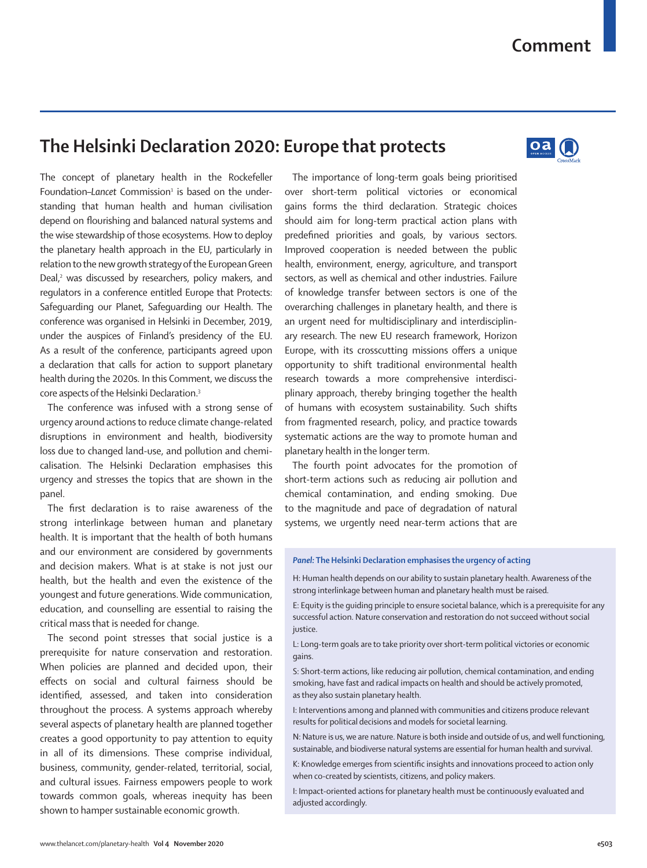## **The Helsinki Declaration 2020: Europe that protects**



The concept of planetary health in the Rockefeller Foundation-Lancet Commission<sup>1</sup> is based on the understanding that human health and human civilisation depend on flourishing and balanced natural systems and the wise stewardship of those ecosystems. How to deploy the planetary health approach in the EU, particularly in relation to the new growth strategy of the European Green Deal,<sup>2</sup> was discussed by researchers, policy makers, and regulators in a conference entitled Europe that Protects: Safeguarding our Planet, Safeguarding our Health. The conference was organised in Helsinki in December, 2019, under the auspices of Finland's presidency of the EU. As a result of the conference, participants agreed upon a declaration that calls for action to support planetary health during the 2020s. In this Comment, we discuss the core aspects of the Helsinki Declaration.3

The conference was infused with a strong sense of urgency around actions to reduce climate change-related disruptions in environment and health, biodiversity loss due to changed land-use, and pollution and chemicalisation. The Helsinki Declaration emphasises this urgency and stresses the topics that are shown in the panel.

The first declaration is to raise awareness of the strong interlinkage between human and planetary health. It is important that the health of both humans and our environment are considered by governments and decision makers. What is at stake is not just our health, but the health and even the existence of the youngest and future generations. Wide communication, education, and counselling are essential to raising the critical mass that is needed for change.

The second point stresses that social justice is a prerequisite for nature conservation and restoration. When policies are planned and decided upon, their effects on social and cultural fairness should be identified, assessed, and taken into consideration throughout the process. A systems approach whereby several aspects of planetary health are planned together creates a good opportunity to pay attention to equity in all of its dimensions. These comprise individual, business, community, gender-related, territorial, social, and cultural issues. Fairness empowers people to work towards common goals, whereas inequity has been shown to hamper sustainable economic growth.

The importance of long-term goals being prioritised over short-term political victories or economical gains forms the third declaration. Strategic choices should aim for long-term practical action plans with predefined priorities and goals, by various sectors. Improved cooperation is needed between the public health, environment, energy, agriculture, and transport sectors, as well as chemical and other industries. Failure of knowledge transfer between sectors is one of the overarching challenges in planetary health, and there is an urgent need for multidisciplinary and interdisciplinary research. The new EU research framework, Horizon Europe, with its crosscutting missions offers a unique opportunity to shift traditional environmental health research towards a more comprehensive interdisciplinary approach, thereby bringing together the health of humans with ecosystem sustainability. Such shifts from fragmented research, policy, and practice towards systematic actions are the way to promote human and planetary health in the longer term.

The fourth point advocates for the promotion of short-term actions such as reducing air pollution and chemical contamination, and ending smoking. Due to the magnitude and pace of degradation of natural systems, we urgently need near-term actions that are

## *Panel:* **The Helsinki Declaration emphasises the urgency of acting**

H: Human health depends on our ability to sustain planetary health. Awareness of the strong interlinkage between human and planetary health must be raised.

E: Equity is the guiding principle to ensure societal balance, which is a prerequisite for any successful action. Nature conservation and restoration do not succeed without social justice.

L: Long-term goals are to take priority over short-term political victories or economic gains.

S: Short-term actions, like reducing air pollution, chemical contamination, and ending smoking, have fast and radical impacts on health and should be actively promoted, as they also sustain planetary health.

I: Interventions among and planned with communities and citizens produce relevant results for political decisions and models for societal learning.

N: Nature is us, we are nature. Nature is both inside and outside of us, and well functioning, sustainable, and biodiverse natural systems are essential for human health and survival.

K: Knowledge emerges from scientific insights and innovations proceed to action only when co-created by scientists, citizens, and policy makers.

I: Impact-oriented actions for planetary health must be continuously evaluated and adjusted accordingly.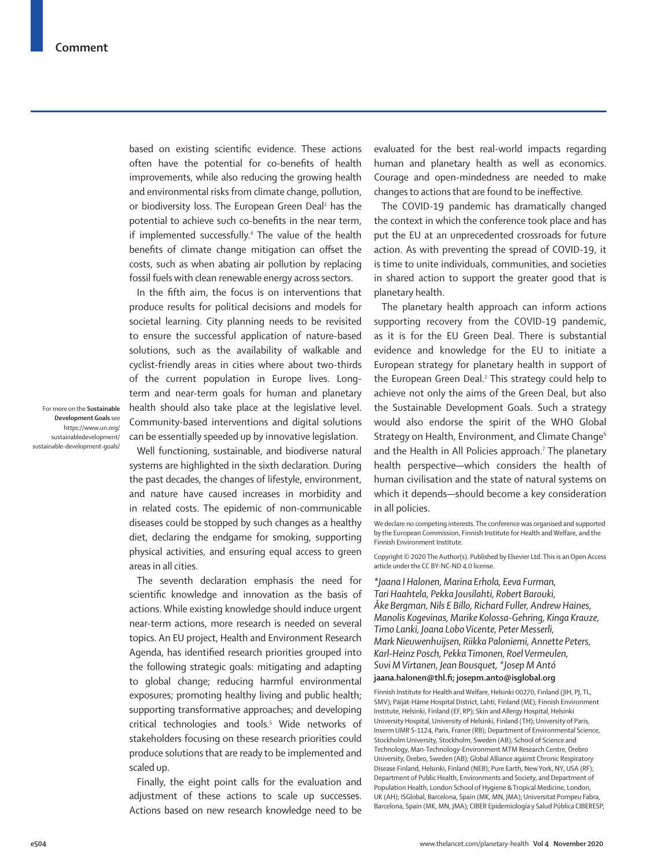based on existing scientific evidence. These actions often have the potential for co-benefits of health improvements, while also reducing the growing health and environmental risks from climate change, pollution, or biodiversity loss. The European Green Deal<sup>2</sup> has the potential to achieve such co-benefits in the near term, if implemented successfully.4 The value of the health benefits of climate change mitigation can offset the costs, such as when abating air pollution by replacing fossil fuels with clean renewable energy across sectors.

In the fifth aim, the focus is on interventions that produce results for political decisions and models for societal learning. City planning needs to be revisited to ensure the successful application of nature-based solutions, such as the availability of walkable and cyclist-friendly areas in cities where about two-thirds of the current population in Europe lives. Longterm and near-term goals for human and planetary health should also take place at the legislative level. Community-based interventions and digital solutions can be essentially speeded up by innovative legislation.

Well functioning, sustainable, and biodiverse natural systems are highlighted in the sixth declaration. During the past decades, the changes of lifestyle, environment, and nature have caused increases in morbidity and in related costs. The epidemic of non-communicable diseases could be stopped by such changes as a healthy diet, declaring the endgame for smoking, supporting physical activities, and ensuring equal access to green areas in all cities.

The seventh declaration emphasis the need for scientific knowledge and innovation as the basis of actions. While existing knowledge should induce urgent near-term actions, more research is needed on several topics. An EU project, Health and Environment Research Agenda, has identified research priorities grouped into the following strategic goals: mitigating and adapting to global change; reducing harmful environmental exposures; promoting healthy living and public health; supporting transformative approaches; and developing critical technologies and tools.<sup>5</sup> Wide networks of stakeholders focusing on these research priorities could produce solutions that are ready to be implemented and scaled up.

Finally, the eight point calls for the evaluation and adjustment of these actions to scale up successes. Actions based on new research knowledge need to be evaluated for the best real-world impacts regarding human and planetary health as well as economics. Courage and open-mindedness are needed to make changes to actions that are found to be ineffective.

The COVID-19 pandemic has dramatically changed the context in which the conference took place and has put the EU at an unprecedented crossroads for future action. As with preventing the spread of COVID-19, it is time to unite individuals, communities, and societies in shared action to support the greater good that is planetary health.

The planetary health approach can inform actions supporting recovery from the COVID-19 pandemic, as it is for the EU Green Deal. There is substantial evidence and knowledge for the EU to initiate a European strategy for planetary health in support of the European Green Deal.<sup>2</sup> This strategy could help to achieve not only the aims of the Green Deal, but also the [Sustainable Development Goals.](https://www.un.org/sustainabledevelopment/sustainable-development-goals/) Such a strategy would also endorse the spirit of the WHO Global Strategy on Health, Environment, and Climate Change<sup>6</sup> and the Health in All Policies approach.<sup>7</sup> The planetary health perspective—which considers the health of human civilisation and the state of natural systems on which it depends—should become a key consideration in all policies.

We declare no competing interests. The conference was organised and supported by the European Commission, Finnish Institute for Health and Welfare, and the Finnish Environment Institute.

Copyright © 2020 The Author(s). Published by Elsevier Ltd. This is an Open Access article under the CC BY-NC-ND 4.0 license.

*\*Jaana I Halonen, Marina Erhola, Eeva Furman, Tari Haahtela, Pekka Jousilahti, Robert Barouki, Åke Bergman, Nils E Billo, Richard Fuller, Andrew Haines, Manolis Kogevinas, Marike Kolossa-Gehring, Kinga Krauze, Timo Lanki, Joana Lobo Vicente, Peter Messerli, Mark Nieuwenhuijsen, Riikka Paloniemi, Annette Peters, Karl-Heinz Posch, Pekka Timonen, Roel Vermeulen, Suvi M Virtanen, Jean Bousquet, \*Josep M Antó* **jaana.halonen@thl.fi; josepm.anto@isglobal.org**

Finnish Institute for Health and Welfare, Helsinki 00270, Finland (IIH, PJ, TL, SMV); Päijät-Häme Hospital District, Lahti, Finland (ME); Finnish Environment Institute, Helsinki, Finland (EF, RP); Skin and Allergy Hospital, Helsinki University Hospital, University of Helsinki, Finland (TH); University of Paris, Inserm UMR S-1124, Paris, France (RB); Department of Environmental Science, Stockholm University, Stockholm, Sweden (AB); School of Science and Technology, Man-Technology-Environment MTM Research Centre, Örebro University, Örebro, Sweden (AB); Global Alliance against Chronic Respiratory Disease Finland, Helsinki, Finland (NEB); Pure Earth, New York, NY, USA (RF); Department of Public Health, Environments and Society, and Department of Population Health, London School of Hygiene & Tropical Medicine, London, UK (AH); ISGlobal, Barcelona, Spain (MK, MN, JMA); Universitat Pompeu Fabra, Barcelona, Spain (MK, MN, JMA); CIBER Epidemiología y Salud Pública CIBERESP,

For more on the **Sustainable Development Goals** see [https://www.un.org/](https://www.un.org/sustainabledevelopment/sustainable-development-goals/) [sustainabledevelopment/](https://www.un.org/sustainabledevelopment/sustainable-development-goals/) [sustainable-development-goals/](https://www.un.org/sustainabledevelopment/sustainable-development-goals/)